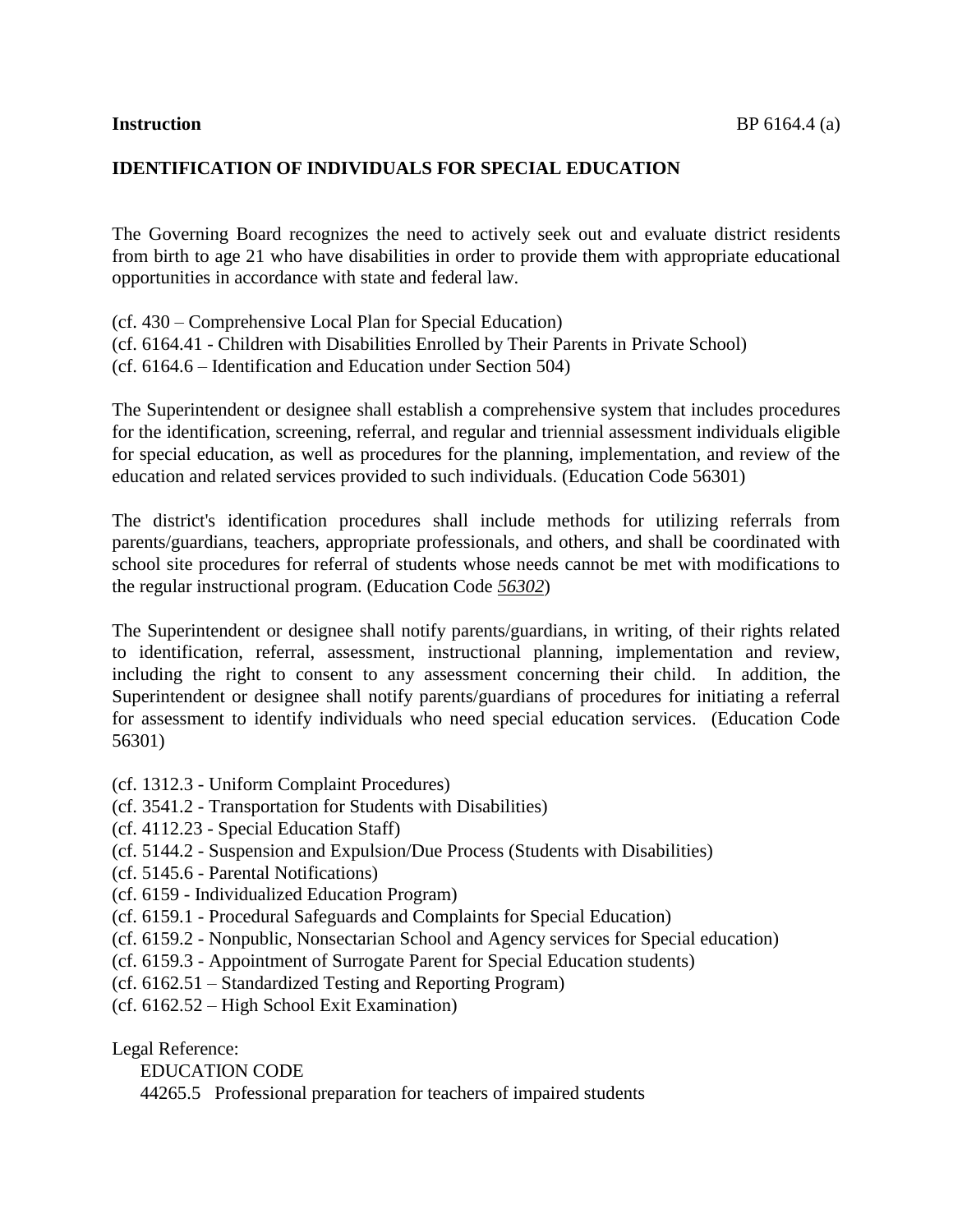# **IDENTIFICATION OF INDIVIDUALS FOR SPECIAL EDUCATION**

The Governing Board recognizes the need to actively seek out and evaluate district residents from birth to age 21 who have disabilities in order to provide them with appropriate educational opportunities in accordance with state and federal law.

(cf. 430 – Comprehensive Local Plan for Special Education) (cf. [6164.41](http://www.gamutonline.net/displayPolicy/431201/6) - Children with Disabilities Enrolled by Their Parents in Private School)

(cf. 6164.6 – Identification and Education under Section 504)

The Superintendent or designee shall establish a comprehensive system that includes procedures for the identification, screening, referral, and regular and triennial assessment individuals eligible for special education, as well as procedures for the planning, implementation, and review of the education and related services provided to such individuals. (Education Code 56301)

The district's identification procedures shall include methods for utilizing referrals from parents/guardians, teachers, appropriate professionals, and others, and shall be coordinated with school site procedures for referral of students whose needs cannot be met with modifications to the regular instructional program. (Education Code *[56302](http://www.gamutonline.net/displayPolicy/133451/6)*)

The Superintendent or designee shall notify parents/guardians, in writing, of their rights related to identification, referral, assessment, instructional planning, implementation and review, including the right to consent to any assessment concerning their child. In addition, the Superintendent or designee shall notify parents/guardians of procedures for initiating a referral for assessment to identify individuals who need special education services. (Education Code 56301)

- (cf. 1312.3 Uniform Complaint Procedures)
- (cf. 3541.2 Transportation for Students with Disabilities)
- (cf. 4112.23 Special Education Staff)
- (cf. 5144.2 Suspension and Expulsion/Due Process (Students with Disabilities)
- (cf. 5145.6 Parental Notifications)
- (cf. 6159 Individualized Education Program)
- (cf. 6159.1 Procedural Safeguards and Complaints for Special Education)
- (cf. 6159.2 Nonpublic, Nonsectarian School and Agency services for Special education)
- (cf. 6159.3 Appointment of Surrogate Parent for Special Education students)
- (cf. 6162.51 Standardized Testing and Reporting Program)
- (cf. 6162.52 High School Exit Examination)

Legal Reference:

EDUCATION CODE

44265.5 Professional preparation for teachers of impaired students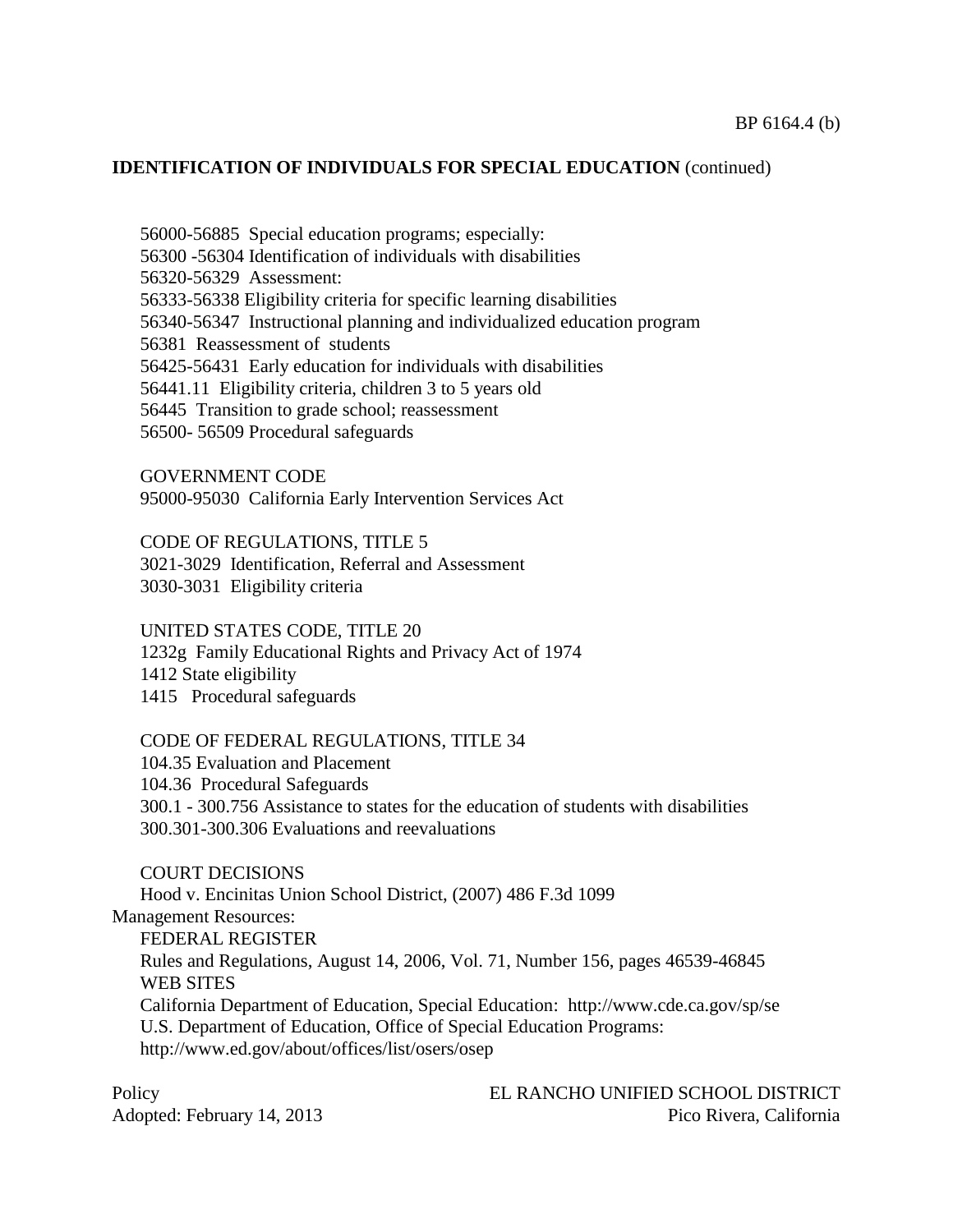56000-56885 Special education programs; especially: 56300 -56304 Identification of individuals with disabilities 56320-56329 Assessment: [56333](http://www.gamutonline.net/displayPolicy/133462/6)[-56338](http://www.gamutonline.net/displayPolicy/133465/6) Eligibility criteria for specific learning disabilities 56340-56347 Instructional planning and individualized education program 56381 Reassessment of students 56425-56431 Early education for individuals with disabilities 56441.11 Eligibility criteria, children 3 to 5 years old 56445 Transition to grade school; reassessment 56500- 56509 Procedural safeguards

GOVERNMENT CODE 95000-95030 California Early Intervention Services Act

CODE OF REGULATIONS, TITLE 5 3021-3029 Identification, Referral and Assessment 3030-3031 Eligibility criteria

UNITED STATES CODE, TITLE 20 1232g Family Educational Rights and Privacy Act of 1974 1412 State eligibility 1415 Procedural safeguards

CODE OF FEDERAL REGULATIONS, TITLE 34 104.35 Evaluation and Placement 104.36 Procedural Safeguards 300.1 - 300.756 Assistance to states for the education of students with disabilities [300.301](http://www.gamutonline.net/displayPolicy/421101/6)[-300.306](http://www.gamutonline.net/displayPolicy/421106/6) Evaluations and reevaluations

COURT DECISIONS Hood v. Encinitas Union School District, (2007) 486 F.3d 1099 Management Resources: FEDERAL REGISTER Rules and Regulations, August 14, 2006, Vol. 71, Number 156, pages 46539-46845 WEB SITES California Department of Education, Special Education: <http://www.cde.ca.gov/>sp/se U.S. Department of Education, Office of Special Education Programs: <http://www.ed.gov/about/offices/list/osers/osep>

Policy EL RANCHO UNIFIED SCHOOL DISTRICT Adopted: February 14, 2013 Pico Rivera, California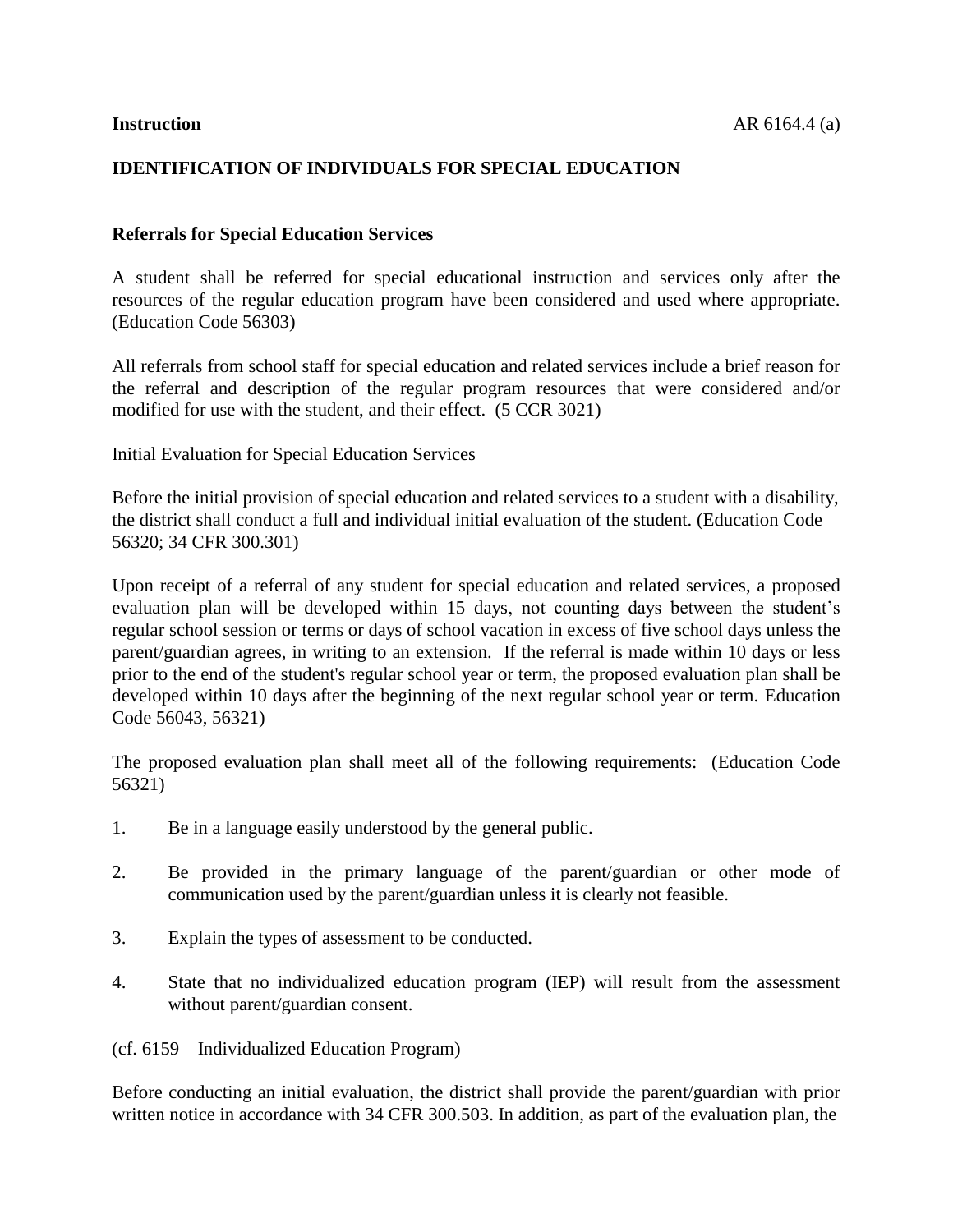# **IDENTIFICATION OF INDIVIDUALS FOR SPECIAL EDUCATION**

### **Referrals for Special Education Services**

A student shall be referred for special educational instruction and services only after the resources of the regular education program have been considered and used where appropriate. (Education Code 56303)

All referrals from school staff for special education and related services include a brief reason for the referral and description of the regular program resources that were considered and/or modified for use with the student, and their effect. (5 CCR 3021)

Initial Evaluation for Special Education Services

Before the initial provision of special education and related services to a student with a disability, the district shall conduct a full and individual initial evaluation of the student. (Education Code [56320;](http://www.gamutonline.net/displayPolicy/388026/6) 34 CFR [300.301\)](http://www.gamutonline.net/displayPolicy/421101/6)

Upon receipt of a referral of any student for special education and related services, a proposed evaluation plan will be developed within 15 days, not counting days between the student's regular school session or terms or days of school vacation in excess of five school days unless the parent/guardian agrees, in writing to an extension. If the referral is made within 10 days or less prior to the end of the student's regular school year or term, the proposed evaluation plan shall be developed within 10 days after the beginning of the next regular school year or term. Education Code 56043, 56321)

The proposed evaluation plan shall meet all of the following requirements: (Education Code 56321)

- 1. Be in a language easily understood by the general public.
- 2. Be provided in the primary language of the parent/guardian or other mode of communication used by the parent/guardian unless it is clearly not feasible.
- 3. Explain the types of assessment to be conducted.
- 4. State that no individualized education program (IEP) will result from the assessment without parent/guardian consent.

(cf. 6159 – Individualized Education Program)

Before conducting an initial evaluation, the district shall provide the parent/guardian with prior written notice in accordance with 34 CFR [300.503.](http://www.gamutonline.net/displayPolicy/421123/6) In addition, as part of the evaluation plan, the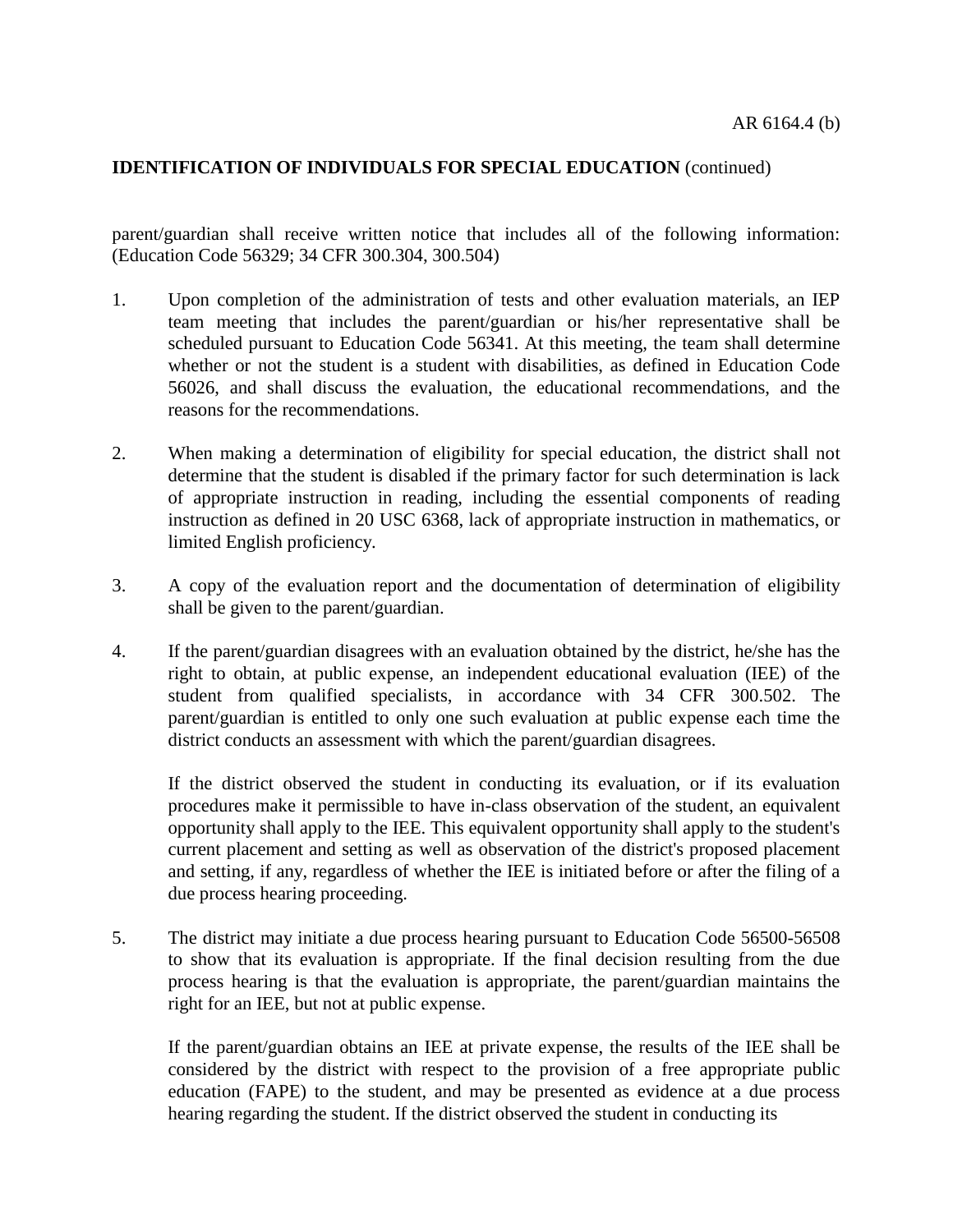parent/guardian shall receive written notice that includes all of the following information: (Education Code [56329;](http://www.gamutonline.net/displayPolicy/138031/6) 34 CFR [300.304,](http://www.gamutonline.net/displayPolicy/421104/6) [300.504\)](http://www.gamutonline.net/displayPolicy/421124/6)

- 1. Upon completion of the administration of tests and other evaluation materials, an IEP team meeting that includes the parent/guardian or his/her representative shall be scheduled pursuant to Education Code [56341.](http://www.gamutonline.net/displayPolicy/133469/6) At this meeting, the team shall determine whether or not the student is a student with disabilities, as defined in Education Code [56026,](http://www.gamutonline.net/displayPolicy/138011/6) and shall discuss the evaluation, the educational recommendations, and the reasons for the recommendations.
- 2. When making a determination of eligibility for special education, the district shall not determine that the student is disabled if the primary factor for such determination is lack of appropriate instruction in reading, including the essential components of reading instruction as defined in 20 USC [6368,](http://www.gamutonline.net/displayPolicy/302880/6) lack of appropriate instruction in mathematics, or limited English proficiency.
- 3. A copy of the evaluation report and the documentation of determination of eligibility shall be given to the parent/guardian.
- 4. If the parent/guardian disagrees with an evaluation obtained by the district, he/she has the right to obtain, at public expense, an independent educational evaluation (IEE) of the student from qualified specialists, in accordance with 34 CFR [300.502.](http://www.gamutonline.net/displayPolicy/421122/6) The parent/guardian is entitled to only one such evaluation at public expense each time the district conducts an assessment with which the parent/guardian disagrees.

If the district observed the student in conducting its evaluation, or if its evaluation procedures make it permissible to have in-class observation of the student, an equivalent opportunity shall apply to the IEE. This equivalent opportunity shall apply to the student's current placement and setting as well as observation of the district's proposed placement and setting, if any, regardless of whether the IEE is initiated before or after the filing of a due process hearing proceeding.

5. The district may initiate a due process hearing pursuant to Education Code [56500](http://www.gamutonline.net/displayPolicy/137557/6)[-56508](http://www.gamutonline.net/displayPolicy/133539/6) to show that its evaluation is appropriate. If the final decision resulting from the due process hearing is that the evaluation is appropriate, the parent/guardian maintains the right for an IEE, but not at public expense.

If the parent/guardian obtains an IEE at private expense, the results of the IEE shall be considered by the district with respect to the provision of a free appropriate public education (FAPE) to the student, and may be presented as evidence at a due process hearing regarding the student. If the district observed the student in conducting its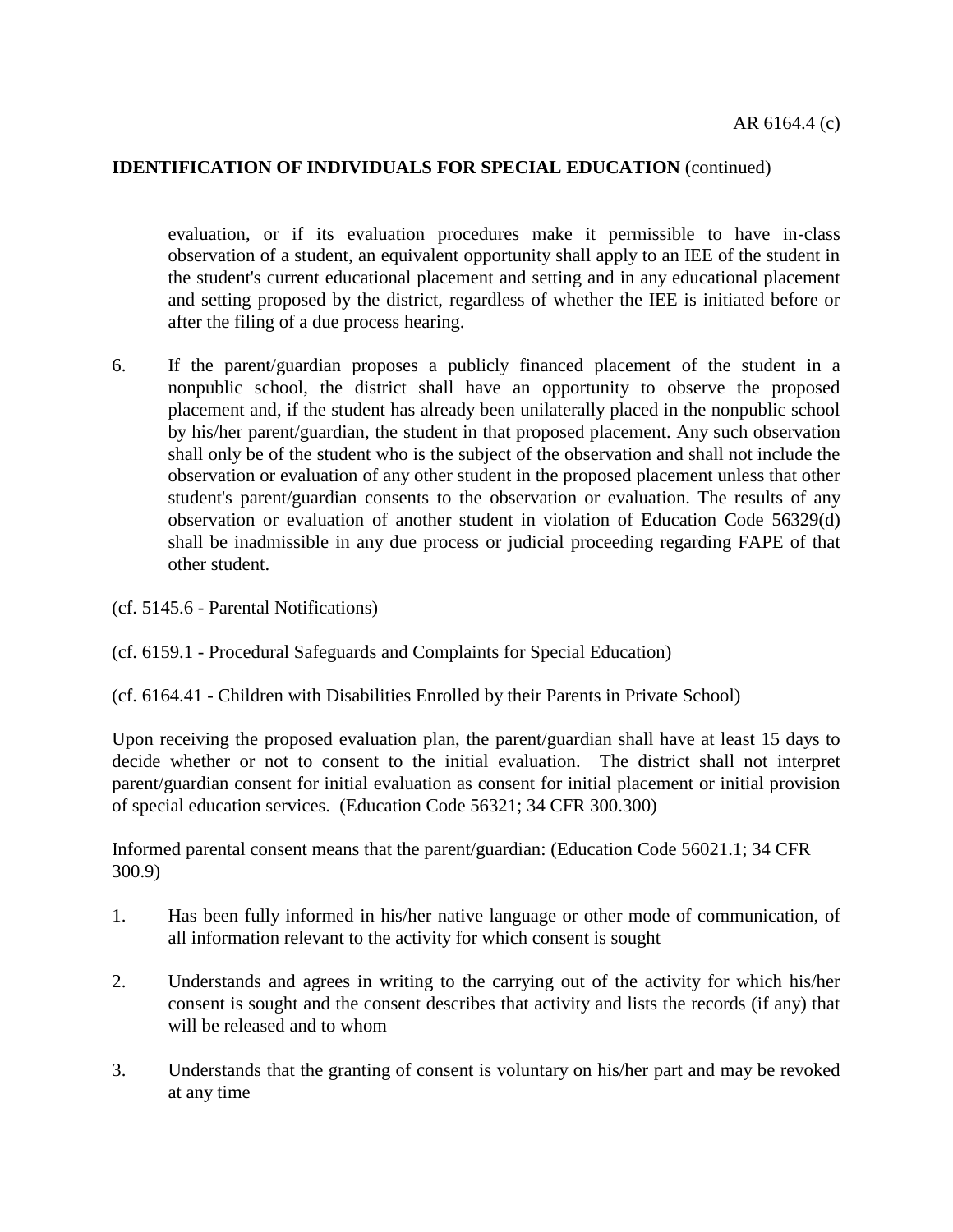evaluation, or if its evaluation procedures make it permissible to have in-class observation of a student, an equivalent opportunity shall apply to an IEE of the student in the student's current educational placement and setting and in any educational placement and setting proposed by the district, regardless of whether the IEE is initiated before or after the filing of a due process hearing.

- 6. If the parent/guardian proposes a publicly financed placement of the student in a nonpublic school, the district shall have an opportunity to observe the proposed placement and, if the student has already been unilaterally placed in the nonpublic school by his/her parent/guardian, the student in that proposed placement. Any such observation shall only be of the student who is the subject of the observation and shall not include the observation or evaluation of any other student in the proposed placement unless that other student's parent/guardian consents to the observation or evaluation. The results of any observation or evaluation of another student in violation of Education Code [56329\(](http://www.gamutonline.net/displayPolicy/138031/6)d) shall be inadmissible in any due process or judicial proceeding regarding FAPE of that other student.
- (cf. [5145.6](http://www.gamutonline.net/displayPolicy/222839/6) Parental Notifications)
- (cf. [6159.1](http://www.gamutonline.net/displayPolicy/171591/6) Procedural Safeguards and Complaints for Special Education)
- (cf. [6164.41](http://www.gamutonline.net/displayPolicy/431201/6) Children with Disabilities Enrolled by their Parents in Private School)

Upon receiving the proposed evaluation plan, the parent/guardian shall have at least 15 days to decide whether or not to consent to the initial evaluation. The district shall not interpret parent/guardian consent for initial evaluation as consent for initial placement or initial provision of special education services. (Education Code 56321; 34 CFR 300.300)

Informed parental consent means that the parent/guardian: (Education Code [56021.1;](http://www.gamutonline.net/displayPolicy/286489/6) 34 CFR [300.9\)](http://www.gamutonline.net/displayPolicy/191427/6)

- 1. Has been fully informed in his/her native language or other mode of communication, of all information relevant to the activity for which consent is sought
- 2. Understands and agrees in writing to the carrying out of the activity for which his/her consent is sought and the consent describes that activity and lists the records (if any) that will be released and to whom
- 3. Understands that the granting of consent is voluntary on his/her part and may be revoked at any time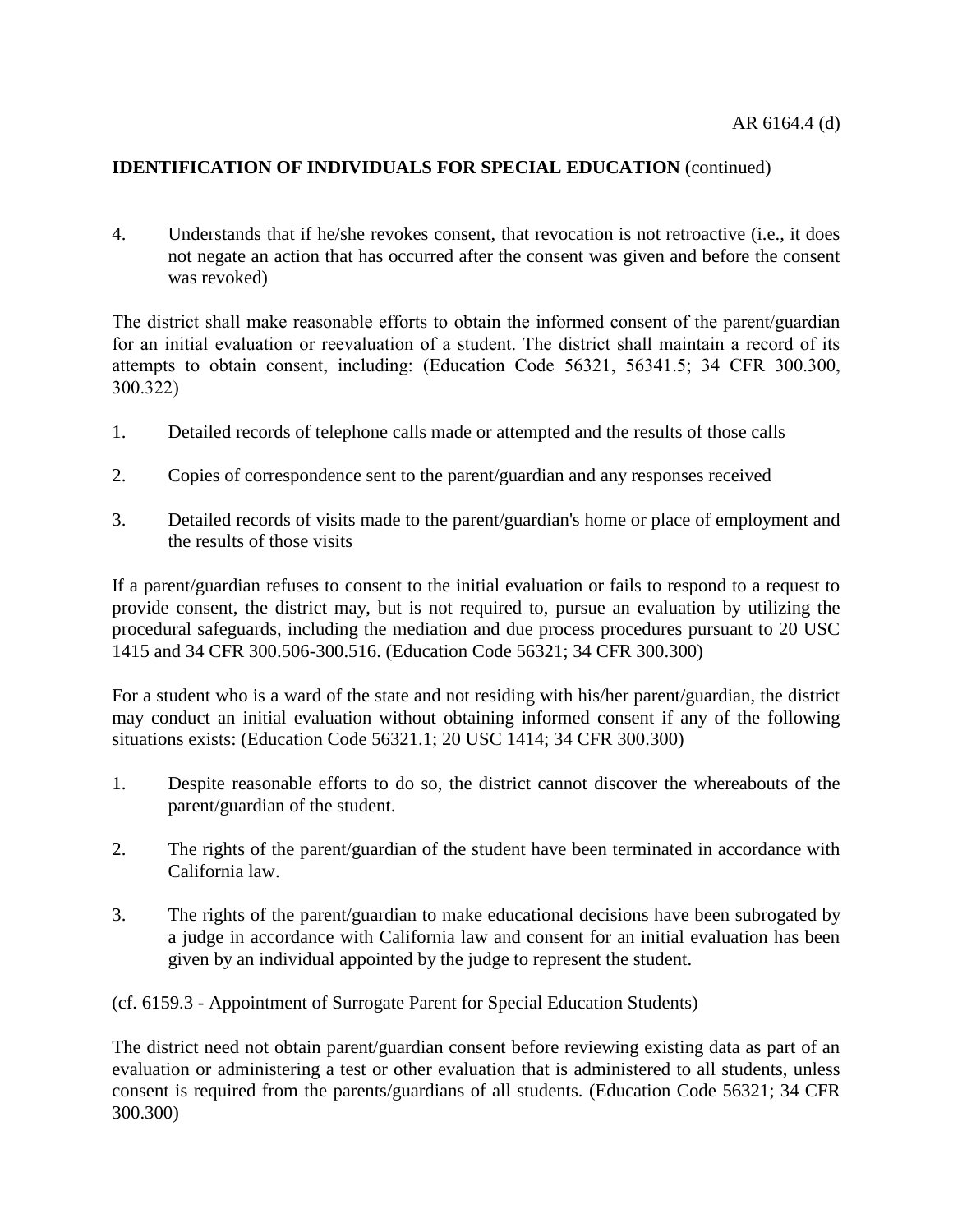4. Understands that if he/she revokes consent, that revocation is not retroactive (i.e., it does not negate an action that has occurred after the consent was given and before the consent was revoked)

The district shall make reasonable efforts to obtain the informed consent of the parent/guardian for an initial evaluation or reevaluation of a student. The district shall maintain a record of its attempts to obtain consent, including: (Education Code [56321,](http://www.gamutonline.net/displayPolicy/133454/6) [56341.5;](http://www.gamutonline.net/displayPolicy/138032/6) 34 CFR [300.300,](http://www.gamutonline.net/displayPolicy/421100/6) [300.322\)](http://www.gamutonline.net/displayPolicy/421114/6)

- 1. Detailed records of telephone calls made or attempted and the results of those calls
- 2. Copies of correspondence sent to the parent/guardian and any responses received
- 3. Detailed records of visits made to the parent/guardian's home or place of employment and the results of those visits

If a parent/guardian refuses to consent to the initial evaluation or fails to respond to a request to provide consent, the district may, but is not required to, pursue an evaluation by utilizing the procedural safeguards, including the mediation and due process procedures pursuant to 20 USC [1415](http://www.gamutonline.net/displayPolicy/364374/6) and 34 CFR [300.506](http://www.gamutonline.net/displayPolicy/421126/6)[-300.516.](http://www.gamutonline.net/displayPolicy/421136/6) (Education Code [56321;](http://www.gamutonline.net/displayPolicy/133454/6) 34 CFR [300.300\)](http://www.gamutonline.net/displayPolicy/421100/6)

For a student who is a ward of the state and not residing with his/her parent/guardian, the district may conduct an initial evaluation without obtaining informed consent if any of the following situations exists: (Education Code [56321.1;](http://www.gamutonline.net/displayPolicy/388027/6) 20 USC [1414;](http://www.gamutonline.net/displayPolicy/364373/6) 34 CFR [300.300\)](http://www.gamutonline.net/displayPolicy/421100/6)

- 1. Despite reasonable efforts to do so, the district cannot discover the whereabouts of the parent/guardian of the student.
- 2. The rights of the parent/guardian of the student have been terminated in accordance with California law.
- 3. The rights of the parent/guardian to make educational decisions have been subrogated by a judge in accordance with California law and consent for an initial evaluation has been given by an individual appointed by the judge to represent the student.

(cf. [6159.3](http://www.gamutonline.net/displayPolicy/171706/6) - Appointment of Surrogate Parent for Special Education Students)

The district need not obtain parent/guardian consent before reviewing existing data as part of an evaluation or administering a test or other evaluation that is administered to all students, unless consent is required from the parents/guardians of all students. (Education Code [56321;](http://www.gamutonline.net/displayPolicy/133454/6) 34 CFR [300.300\)](http://www.gamutonline.net/displayPolicy/421100/6)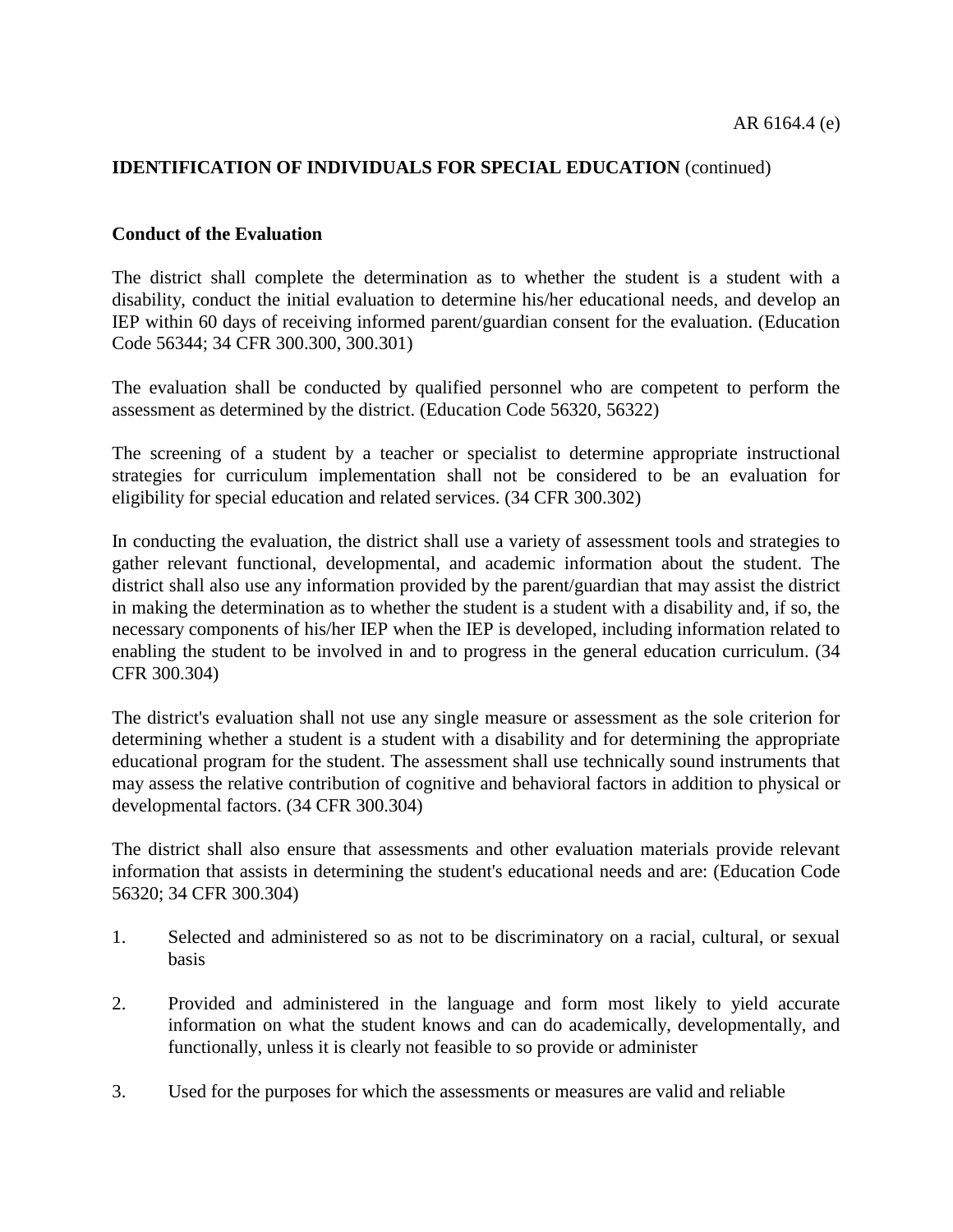#### **Conduct of the Evaluation**

The district shall complete the determination as to whether the student is a student with a disability, conduct the initial evaluation to determine his/her educational needs, and develop an IEP within 60 days of receiving informed parent/guardian consent for the evaluation. (Education Code [56344;](http://www.gamutonline.net/displayPolicy/133471/6) 34 CFR [300.300,](http://www.gamutonline.net/displayPolicy/421100/6) [300.301\)](http://www.gamutonline.net/displayPolicy/421101/6)

The evaluation shall be conducted by qualified personnel who are competent to perform the assessment as determined by the district. (Education Code [56320,](http://www.gamutonline.net/displayPolicy/388026/6) [56322\)](http://www.gamutonline.net/displayPolicy/133456/6)

The screening of a student by a teacher or specialist to determine appropriate instructional strategies for curriculum implementation shall not be considered to be an evaluation for eligibility for special education and related services. (34 CFR [300.302\)](http://www.gamutonline.net/displayPolicy/421102/6)

In conducting the evaluation, the district shall use a variety of assessment tools and strategies to gather relevant functional, developmental, and academic information about the student. The district shall also use any information provided by the parent/guardian that may assist the district in making the determination as to whether the student is a student with a disability and, if so, the necessary components of his/her IEP when the IEP is developed, including information related to enabling the student to be involved in and to progress in the general education curriculum. (34 CFR [300.304\)](http://www.gamutonline.net/displayPolicy/421104/6)

The district's evaluation shall not use any single measure or assessment as the sole criterion for determining whether a student is a student with a disability and for determining the appropriate educational program for the student. The assessment shall use technically sound instruments that may assess the relative contribution of cognitive and behavioral factors in addition to physical or developmental factors. (34 CFR [300.304\)](http://www.gamutonline.net/displayPolicy/421104/6)

The district shall also ensure that assessments and other evaluation materials provide relevant information that assists in determining the student's educational needs and are: (Education Code [56320;](http://www.gamutonline.net/displayPolicy/388026/6) 34 CFR [300.304\)](http://www.gamutonline.net/displayPolicy/421104/6)

- 1. Selected and administered so as not to be discriminatory on a racial, cultural, or sexual basis
- 2. Provided and administered in the language and form most likely to yield accurate information on what the student knows and can do academically, developmentally, and functionally, unless it is clearly not feasible to so provide or administer
- 3. Used for the purposes for which the assessments or measures are valid and reliable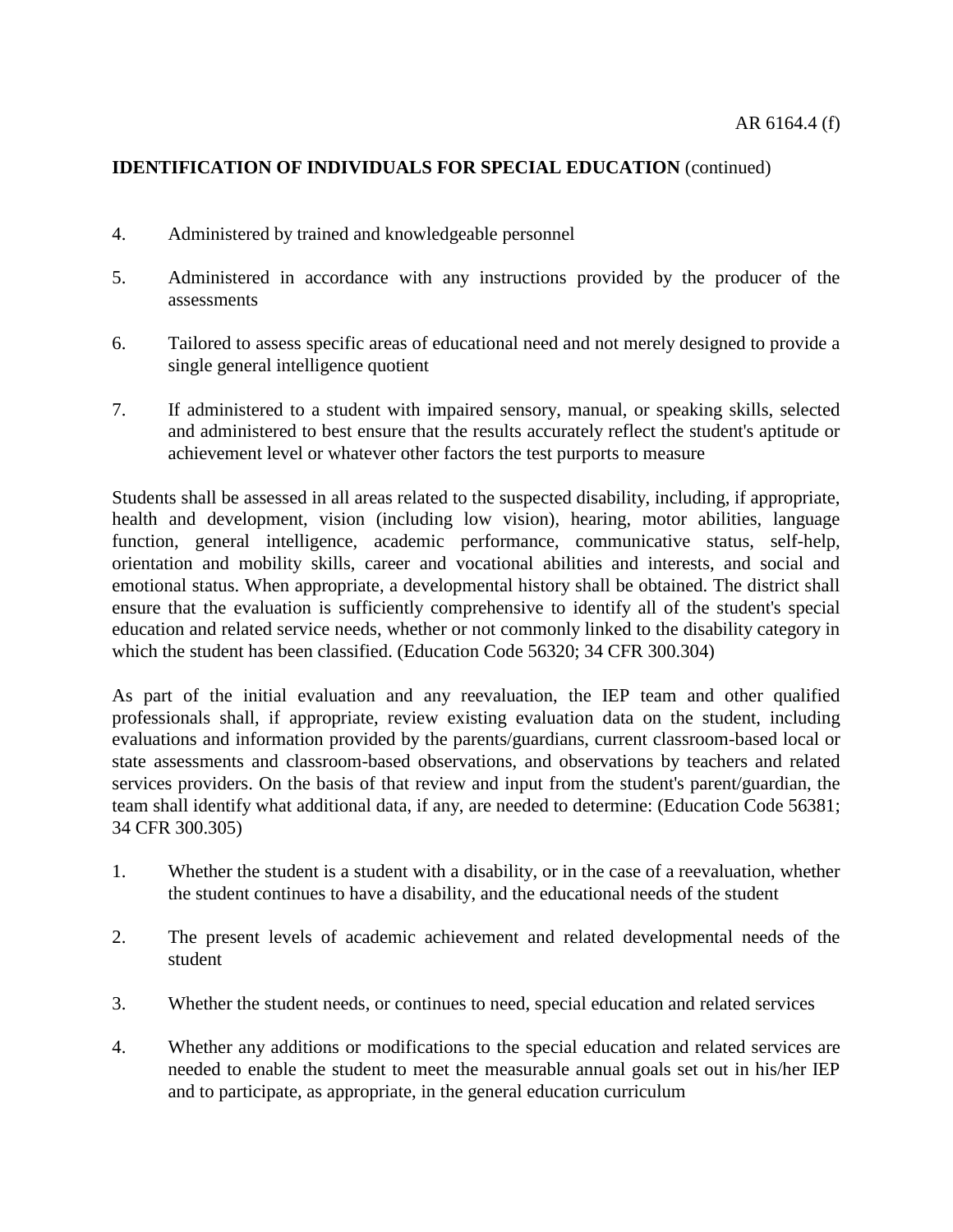- 4. Administered by trained and knowledgeable personnel
- 5. Administered in accordance with any instructions provided by the producer of the assessments
- 6. Tailored to assess specific areas of educational need and not merely designed to provide a single general intelligence quotient
- 7. If administered to a student with impaired sensory, manual, or speaking skills, selected and administered to best ensure that the results accurately reflect the student's aptitude or achievement level or whatever other factors the test purports to measure

Students shall be assessed in all areas related to the suspected disability, including, if appropriate, health and development, vision (including low vision), hearing, motor abilities, language function, general intelligence, academic performance, communicative status, self-help, orientation and mobility skills, career and vocational abilities and interests, and social and emotional status. When appropriate, a developmental history shall be obtained. The district shall ensure that the evaluation is sufficiently comprehensive to identify all of the student's special education and related service needs, whether or not commonly linked to the disability category in which the student has been classified. (Education Code [56320;](http://www.gamutonline.net/displayPolicy/388026/6) 34 CFR [300.304\)](http://www.gamutonline.net/displayPolicy/421104/6)

As part of the initial evaluation and any reevaluation, the IEP team and other qualified professionals shall, if appropriate, review existing evaluation data on the student, including evaluations and information provided by the parents/guardians, current classroom-based local or state assessments and classroom-based observations, and observations by teachers and related services providers. On the basis of that review and input from the student's parent/guardian, the team shall identify what additional data, if any, are needed to determine: (Education Code [56381;](http://www.gamutonline.net/displayPolicy/138044/6) 34 CFR [300.305\)](http://www.gamutonline.net/displayPolicy/421105/6)

- 1. Whether the student is a student with a disability, or in the case of a reevaluation, whether the student continues to have a disability, and the educational needs of the student
- 2. The present levels of academic achievement and related developmental needs of the student
- 3. Whether the student needs, or continues to need, special education and related services
- 4. Whether any additions or modifications to the special education and related services are needed to enable the student to meet the measurable annual goals set out in his/her IEP and to participate, as appropriate, in the general education curriculum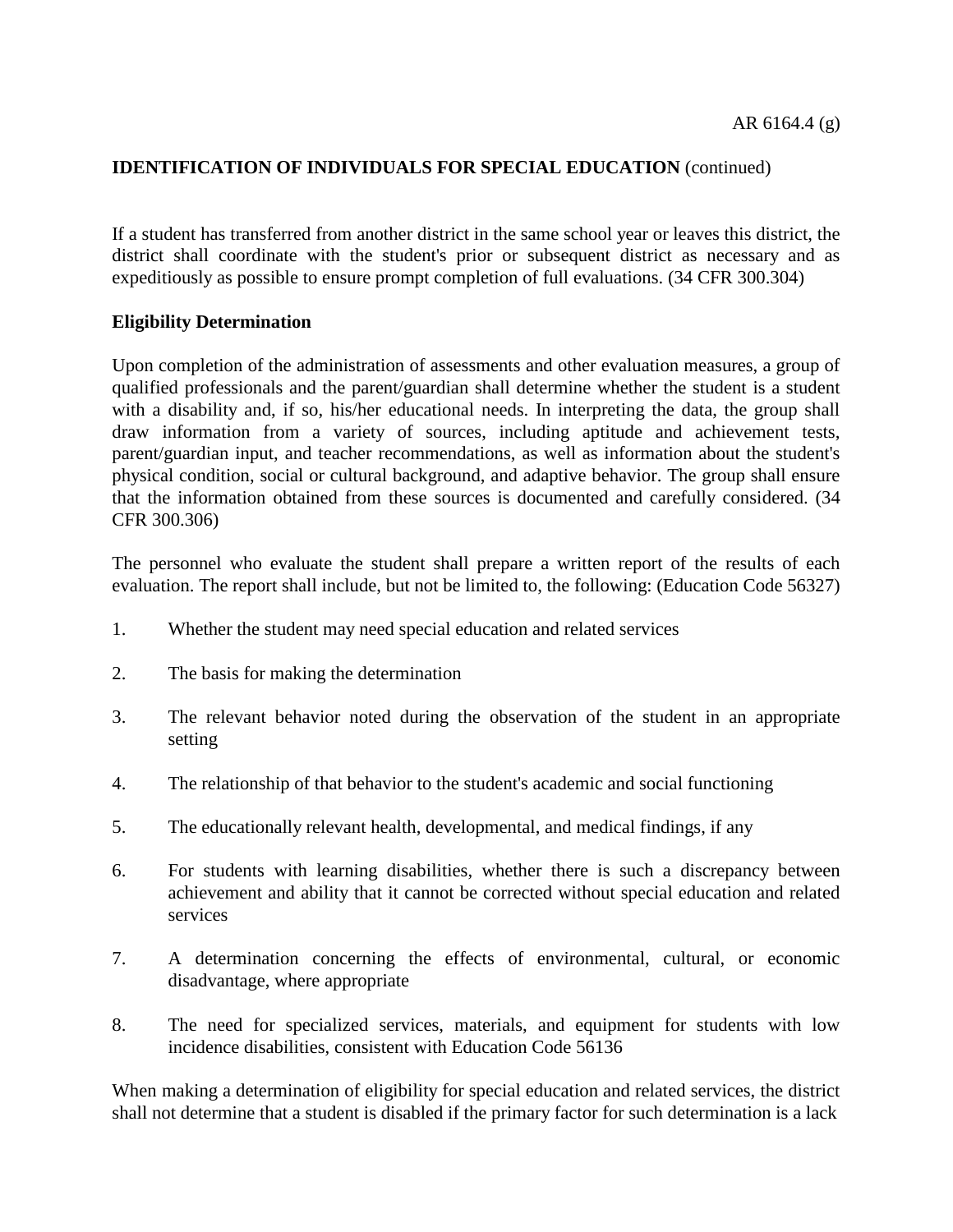If a student has transferred from another district in the same school year or leaves this district, the district shall coordinate with the student's prior or subsequent district as necessary and as expeditiously as possible to ensure prompt completion of full evaluations. (34 CFR [300.304\)](http://www.gamutonline.net/displayPolicy/421104/6)

### **Eligibility Determination**

Upon completion of the administration of assessments and other evaluation measures, a group of qualified professionals and the parent/guardian shall determine whether the student is a student with a disability and, if so, his/her educational needs. In interpreting the data, the group shall draw information from a variety of sources, including aptitude and achievement tests, parent/guardian input, and teacher recommendations, as well as information about the student's physical condition, social or cultural background, and adaptive behavior. The group shall ensure that the information obtained from these sources is documented and carefully considered. (34 CFR [300.306\)](http://www.gamutonline.net/displayPolicy/421106/6)

The personnel who evaluate the student shall prepare a written report of the results of each evaluation. The report shall include, but not be limited to, the following: (Education Code [56327\)](http://www.gamutonline.net/displayPolicy/133460/6)

- 1. Whether the student may need special education and related services
- 2. The basis for making the determination
- 3. The relevant behavior noted during the observation of the student in an appropriate setting
- 4. The relationship of that behavior to the student's academic and social functioning
- 5. The educationally relevant health, developmental, and medical findings, if any
- 6. For students with learning disabilities, whether there is such a discrepancy between achievement and ability that it cannot be corrected without special education and related services
- 7. A determination concerning the effects of environmental, cultural, or economic disadvantage, where appropriate
- 8. The need for specialized services, materials, and equipment for students with low incidence disabilities, consistent with Education Code [56136](http://www.gamutonline.net/displayPolicy/137800/6)

When making a determination of eligibility for special education and related services, the district shall not determine that a student is disabled if the primary factor for such determination is a lack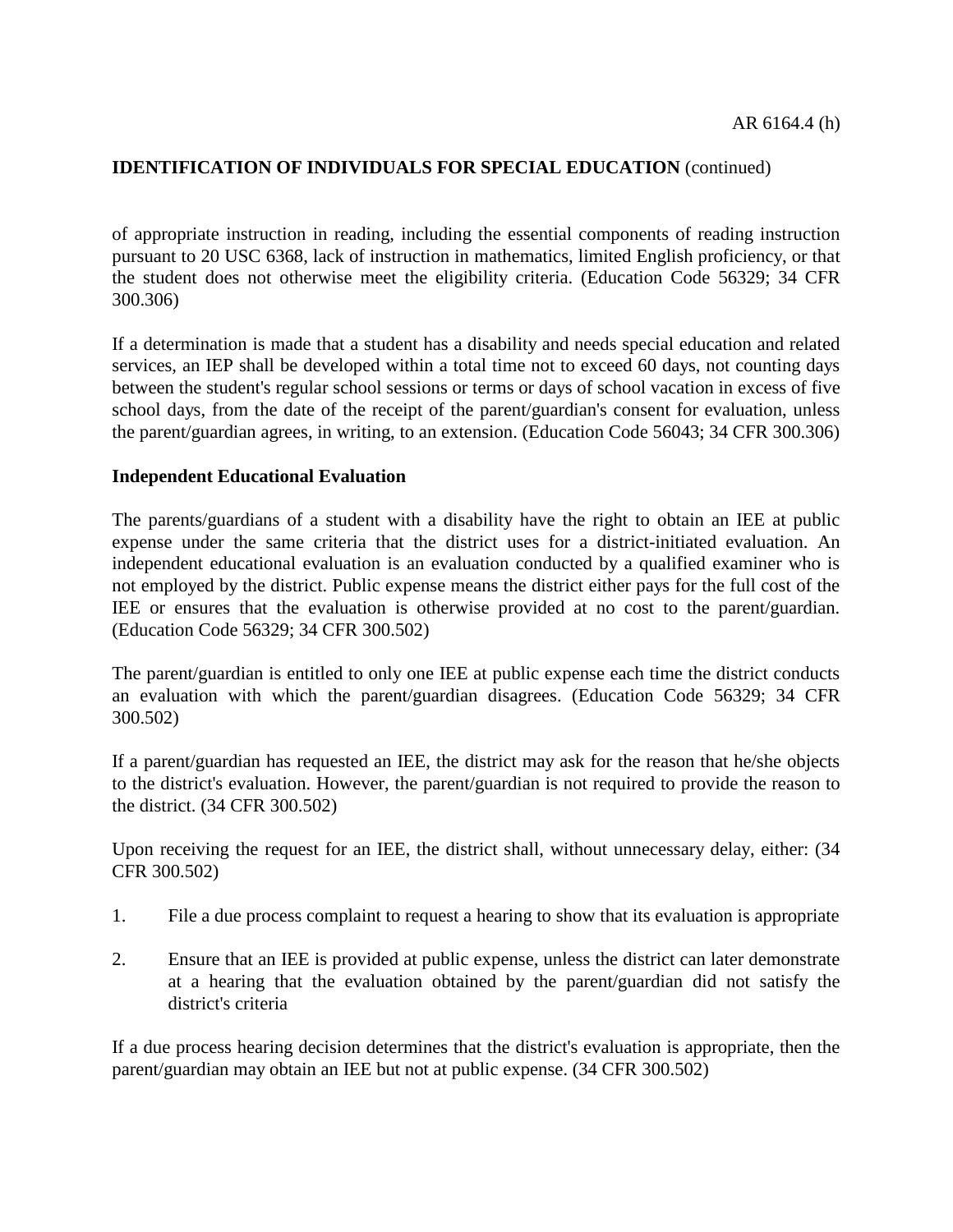of appropriate instruction in reading, including the essential components of reading instruction pursuant to 20 USC [6368,](http://www.gamutonline.net/displayPolicy/302880/6) lack of instruction in mathematics, limited English proficiency, or that the student does not otherwise meet the eligibility criteria. (Education Code [56329;](http://www.gamutonline.net/displayPolicy/138031/6) 34 CFR [300.306\)](http://www.gamutonline.net/displayPolicy/421106/6)

If a determination is made that a student has a disability and needs special education and related services, an IEP shall be developed within a total time not to exceed 60 days, not counting days between the student's regular school sessions or terms or days of school vacation in excess of five school days, from the date of the receipt of the parent/guardian's consent for evaluation, unless the parent/guardian agrees, in writing, to an extension. (Education Code [56043;](http://www.gamutonline.net/displayPolicy/388012/6) 34 CFR [300.306\)](http://www.gamutonline.net/displayPolicy/421106/6)

#### **Independent Educational Evaluation**

The parents/guardians of a student with a disability have the right to obtain an IEE at public expense under the same criteria that the district uses for a district-initiated evaluation. An independent educational evaluation is an evaluation conducted by a qualified examiner who is not employed by the district. Public expense means the district either pays for the full cost of the IEE or ensures that the evaluation is otherwise provided at no cost to the parent/guardian. (Education Code [56329;](http://www.gamutonline.net/displayPolicy/138031/6) 34 CFR [300.502\)](http://www.gamutonline.net/displayPolicy/421122/6)

The parent/guardian is entitled to only one IEE at public expense each time the district conducts an evaluation with which the parent/guardian disagrees. (Education Code [56329;](http://www.gamutonline.net/displayPolicy/138031/6) 34 CFR [300.502\)](http://www.gamutonline.net/displayPolicy/421122/6)

If a parent/guardian has requested an IEE, the district may ask for the reason that he/she objects to the district's evaluation. However, the parent/guardian is not required to provide the reason to the district. (34 CFR [300.502\)](http://www.gamutonline.net/displayPolicy/421122/6)

Upon receiving the request for an IEE, the district shall, without unnecessary delay, either: (34 CFR [300.502\)](http://www.gamutonline.net/displayPolicy/421122/6)

- 1. File a due process complaint to request a hearing to show that its evaluation is appropriate
- 2. Ensure that an IEE is provided at public expense, unless the district can later demonstrate at a hearing that the evaluation obtained by the parent/guardian did not satisfy the district's criteria

If a due process hearing decision determines that the district's evaluation is appropriate, then the parent/guardian may obtain an IEE but not at public expense. (34 CFR [300.502\)](http://www.gamutonline.net/displayPolicy/421122/6)